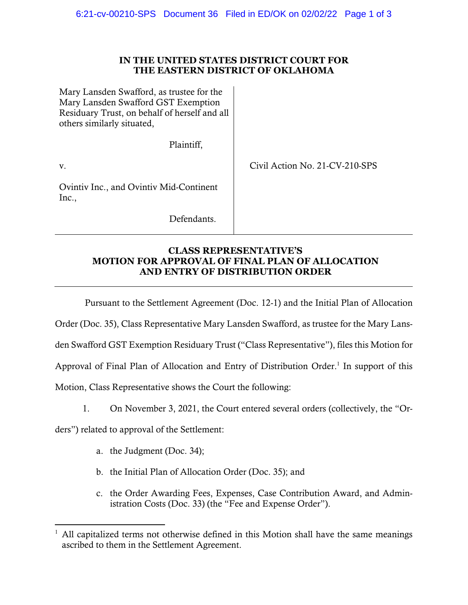### **IN THE UNITED STATES DISTRICT COURT FOR THE EASTERN DISTRICT OF OKLAHOMA**

| Mary Lansden Swafford, as trustee for the<br>Mary Lansden Swafford GST Exemption<br>Residuary Trust, on behalf of herself and all<br>others similarly situated, |                                |
|-----------------------------------------------------------------------------------------------------------------------------------------------------------------|--------------------------------|
| Plaintiff,                                                                                                                                                      |                                |
| V.                                                                                                                                                              | Civil Action No. 21-CV-210-SPS |
| Ovintiv Inc., and Ovintiv Mid-Continent<br>Inc.,                                                                                                                |                                |
| Defendants.                                                                                                                                                     |                                |

## **CLASS REPRESENTATIVE'S MOTION FOR APPROVAL OF FINAL PLAN OF ALLOCATION AND ENTRY OF DISTRIBUTION ORDER**

Pursuant to the Settlement Agreement (Doc. 12-1) and the Initial Plan of Allocation

Order (Doc. 35), Class Representative Mary Lansden Swafford, as trustee for the Mary Lans-

den Swafford GST Exemption Residuary Trust ("Class Representative"), files this Motion for

Approval of Final Plan of Allocation and Entry of Distribution Order.<sup>1</sup> In support of this

Motion, Class Representative shows the Court the following:

1. On November 3, 2021, the Court entered several orders (collectively, the "Or-

ders") related to approval of the Settlement:

- a. the Judgment (Doc. 34);
- b. the Initial Plan of Allocation Order (Doc. 35); and
- c. the Order Awarding Fees, Expenses, Case Contribution Award, and Administration Costs (Doc. 33) (the "Fee and Expense Order").

<sup>1</sup> All capitalized terms not otherwise defined in this Motion shall have the same meanings ascribed to them in the Settlement Agreement.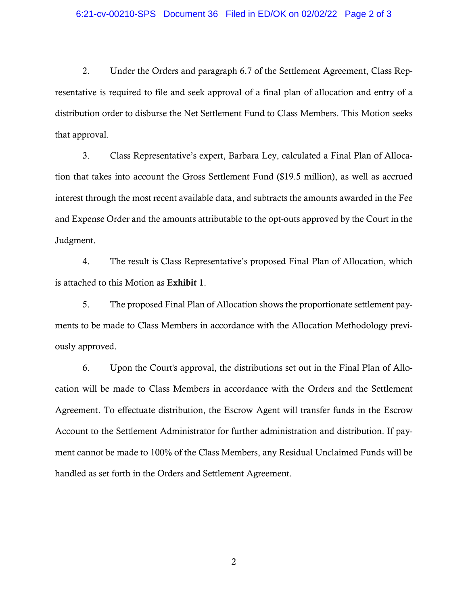#### 6:21-cv-00210-SPS Document 36 Filed in ED/OK on 02/02/22 Page 2 of 3

2. Under the Orders and paragraph 6.7 of the Settlement Agreement, Class Representative is required to file and seek approval of a final plan of allocation and entry of a distribution order to disburse the Net Settlement Fund to Class Members. This Motion seeks that approval.

3. Class Representative's expert, Barbara Ley, calculated a Final Plan of Allocation that takes into account the Gross Settlement Fund (\$19.5 million), as well as accrued interest through the most recent available data, and subtracts the amounts awarded in the Fee and Expense Order and the amounts attributable to the opt-outs approved by the Court in the Judgment.

4. The result is Class Representative's proposed Final Plan of Allocation, which is attached to this Motion as Exhibit 1.

5. The proposed Final Plan of Allocation shows the proportionate settlement payments to be made to Class Members in accordance with the Allocation Methodology previously approved.

6. Upon the Court's approval, the distributions set out in the Final Plan of Allocation will be made to Class Members in accordance with the Orders and the Settlement Agreement. To effectuate distribution, the Escrow Agent will transfer funds in the Escrow Account to the Settlement Administrator for further administration and distribution. If payment cannot be made to 100% of the Class Members, any Residual Unclaimed Funds will be handled as set forth in the Orders and Settlement Agreement.

2